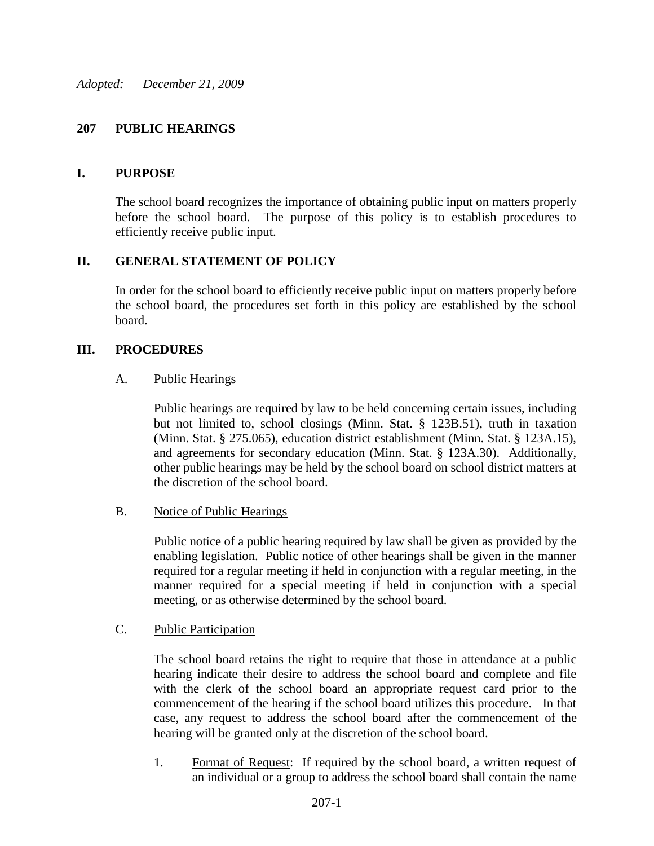# **207 PUBLIC HEARINGS**

## **I. PURPOSE**

The school board recognizes the importance of obtaining public input on matters properly before the school board. The purpose of this policy is to establish procedures to efficiently receive public input.

# **II. GENERAL STATEMENT OF POLICY**

In order for the school board to efficiently receive public input on matters properly before the school board, the procedures set forth in this policy are established by the school board.

## **III. PROCEDURES**

## A. Public Hearings

Public hearings are required by law to be held concerning certain issues, including but not limited to, school closings (Minn. Stat. § 123B.51), truth in taxation (Minn. Stat. § 275.065), education district establishment (Minn. Stat. § 123A.15), and agreements for secondary education (Minn. Stat. § 123A.30). Additionally, other public hearings may be held by the school board on school district matters at the discretion of the school board.

## B. Notice of Public Hearings

Public notice of a public hearing required by law shall be given as provided by the enabling legislation. Public notice of other hearings shall be given in the manner required for a regular meeting if held in conjunction with a regular meeting, in the manner required for a special meeting if held in conjunction with a special meeting, or as otherwise determined by the school board.

## C. Public Participation

The school board retains the right to require that those in attendance at a public hearing indicate their desire to address the school board and complete and file with the clerk of the school board an appropriate request card prior to the commencement of the hearing if the school board utilizes this procedure. In that case, any request to address the school board after the commencement of the hearing will be granted only at the discretion of the school board.

1. Format of Request: If required by the school board, a written request of an individual or a group to address the school board shall contain the name